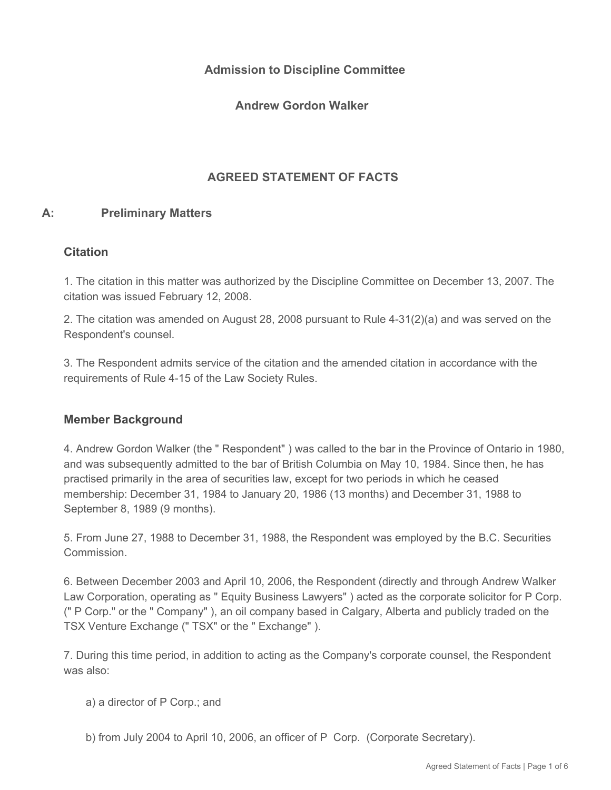## **Admission to Discipline Committee**

**Andrew Gordon Walker** 

# **AGREED STATEMENT OF FACTS**

#### **A: Preliminary Matters**

#### **Citation**

1. The citation in this matter was authorized by the Discipline Committee on December 13, 2007. The citation was issued February 12, 2008.

2. The citation was amended on August 28, 2008 pursuant to Rule 4-31(2)(a) and was served on the Respondent's counsel.

3. The Respondent admits service of the citation and the amended citation in accordance with the requirements of Rule 4-15 of the Law Society Rules.

#### **Member Background**

4. Andrew Gordon Walker (the " Respondent" ) was called to the bar in the Province of Ontario in 1980, and was subsequently admitted to the bar of British Columbia on May 10, 1984. Since then, he has practised primarily in the area of securities law, except for two periods in which he ceased membership: December 31, 1984 to January 20, 1986 (13 months) and December 31, 1988 to September 8, 1989 (9 months).

5. From June 27, 1988 to December 31, 1988, the Respondent was employed by the B.C. Securities Commission.

6. Between December 2003 and April 10, 2006, the Respondent (directly and through Andrew Walker Law Corporation, operating as " Equity Business Lawyers" ) acted as the corporate solicitor for P Corp. (" P Corp." or the " Company" ), an oil company based in Calgary, Alberta and publicly traded on the TSX Venture Exchange (" TSX" or the " Exchange" ).

7. During this time period, in addition to acting as the Company's corporate counsel, the Respondent was also:

- a) a director of P Corp.; and
- b) from July 2004 to April 10, 2006, an officer of P Corp. (Corporate Secretary).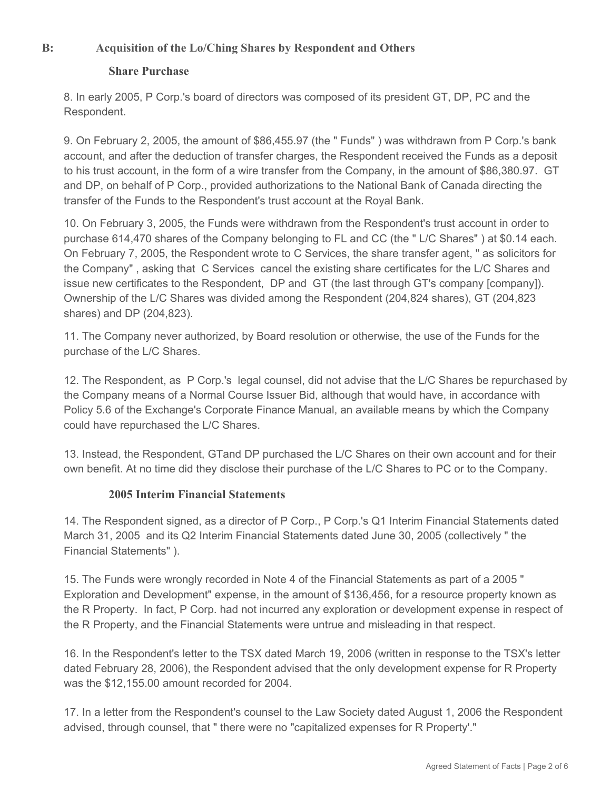### **B: Acquisition of the Lo/Ching Shares by Respondent and Others**

#### **Share Purchase**

8. In early 2005, P Corp.'s board of directors was composed of its president GT, DP, PC and the Respondent.

9. On February 2, 2005, the amount of \$86,455.97 (the " Funds" ) was withdrawn from P Corp.'s bank account, and after the deduction of transfer charges, the Respondent received the Funds as a deposit to his trust account, in the form of a wire transfer from the Company, in the amount of \$86,380.97. GT and DP, on behalf of P Corp., provided authorizations to the National Bank of Canada directing the transfer of the Funds to the Respondent's trust account at the Royal Bank.

10. On February 3, 2005, the Funds were withdrawn from the Respondent's trust account in order to purchase 614,470 shares of the Company belonging to FL and CC (the " L/C Shares" ) at \$0.14 each. On February 7, 2005, the Respondent wrote to C Services, the share transfer agent, " as solicitors for the Company" , asking that C Services cancel the existing share certificates for the L/C Shares and issue new certificates to the Respondent, DP and GT (the last through GT's company [company]). Ownership of the L/C Shares was divided among the Respondent (204,824 shares), GT (204,823 shares) and DP (204,823).

11. The Company never authorized, by Board resolution or otherwise, the use of the Funds for the purchase of the L/C Shares.

12. The Respondent, as P Corp.'s legal counsel, did not advise that the L/C Shares be repurchased by the Company means of a Normal Course Issuer Bid, although that would have, in accordance with Policy 5.6 of the Exchange's Corporate Finance Manual, an available means by which the Company could have repurchased the L/C Shares.

13. Instead, the Respondent, GTand DP purchased the L/C Shares on their own account and for their own benefit. At no time did they disclose their purchase of the L/C Shares to PC or to the Company.

#### **2005 Interim Financial Statements**

14. The Respondent signed, as a director of P Corp., P Corp.'s Q1 Interim Financial Statements dated March 31, 2005 and its Q2 Interim Financial Statements dated June 30, 2005 (collectively " the Financial Statements" ).

15. The Funds were wrongly recorded in Note 4 of the Financial Statements as part of a 2005 " Exploration and Development" expense, in the amount of \$136,456, for a resource property known as the R Property. In fact, P Corp. had not incurred any exploration or development expense in respect of the R Property, and the Financial Statements were untrue and misleading in that respect.

16. In the Respondent's letter to the TSX dated March 19, 2006 (written in response to the TSX's letter dated February 28, 2006), the Respondent advised that the only development expense for R Property was the \$12,155.00 amount recorded for 2004.

17. In a letter from the Respondent's counsel to the Law Society dated August 1, 2006 the Respondent advised, through counsel, that " there were no "capitalized expenses for R Property'."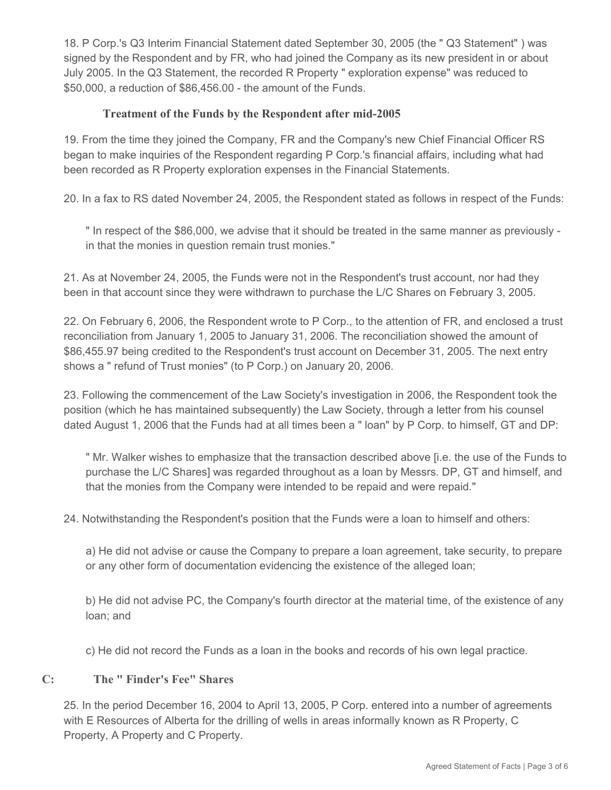18. P Corp.'s Q3 Interim Financial Statement dated September 30, 2005 (the " Q3 Statement" ) was signed by the Respondent and by FR, who had joined the Company as its new president in or about July 2005. In the Q3 Statement, the recorded R Property " exploration expense" was reduced to \$50,000, a reduction of \$86,456.00 - the amount of the Funds.

### **Treatment of the Funds by the Respondent after mid-2005**

19. From the time they joined the Company, FR and the Company's new Chief Financial Officer RS began to make inquiries of the Respondent regarding P Corp.'s financial affairs, including what had been recorded as R Property exploration expenses in the Financial Statements.

20. In a fax to RS dated November 24, 2005, the Respondent stated as follows in respect of the Funds:

" In respect of the \$86,000, we advise that it should be treated in the same manner as previously in that the monies in question remain trust monies."

21. As at November 24, 2005, the Funds were not in the Respondent's trust account, nor had they been in that account since they were withdrawn to purchase the L/C Shares on February 3, 2005.

22. On February 6, 2006, the Respondent wrote to P Corp., to the attention of FR, and enclosed a trust reconciliation from January 1, 2005 to January 31, 2006. The reconciliation showed the amount of \$86,455.97 being credited to the Respondent's trust account on December 31, 2005. The next entry shows a " refund of Trust monies" (to P Corp.) on January 20, 2006.

23. Following the commencement of the Law Society's investigation in 2006, the Respondent took the position (which he has maintained subsequently) the Law Society, through a letter from his counsel dated August 1, 2006 that the Funds had at all times been a " loan" by P Corp. to himself, GT and DP:

" Mr. Walker wishes to emphasize that the transaction described above [i.e. the use of the Funds to purchase the L/C Shares] was regarded throughout as a loan by Messrs. DP, GT and himself, and that the monies from the Company were intended to be repaid and were repaid."

24. Notwithstanding the Respondent's position that the Funds were a loan to himself and others:

a) He did not advise or cause the Company to prepare a loan agreement, take security, to prepare or any other form of documentation evidencing the existence of the alleged loan;

b) He did not advise PC, the Company's fourth director at the material time, of the existence of any loan; and

c) He did not record the Funds as a loan in the books and records of his own legal practice.

#### **C: The " Finder's Fee" Shares**

25. In the period December 16, 2004 to April 13, 2005, P Corp. entered into a number of agreements with E Resources of Alberta for the drilling of wells in areas informally known as R Property, C Property, A Property and C Property.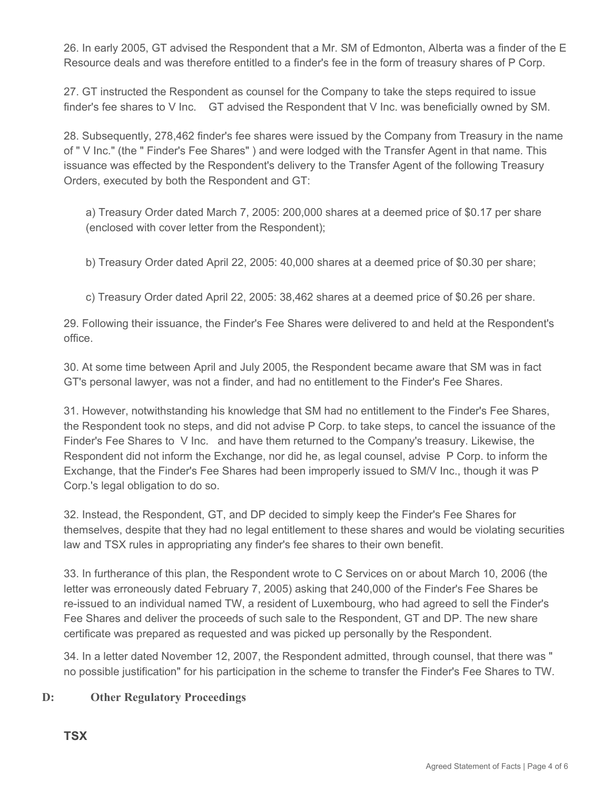26. In early 2005, GT advised the Respondent that a Mr. SM of Edmonton, Alberta was a finder of the E Resource deals and was therefore entitled to a finder's fee in the form of treasury shares of P Corp.

27. GT instructed the Respondent as counsel for the Company to take the steps required to issue finder's fee shares to V Inc. GT advised the Respondent that V Inc. was beneficially owned by SM.

28. Subsequently, 278,462 finder's fee shares were issued by the Company from Treasury in the name of " V Inc." (the " Finder's Fee Shares" ) and were lodged with the Transfer Agent in that name. This issuance was effected by the Respondent's delivery to the Transfer Agent of the following Treasury Orders, executed by both the Respondent and GT:

a) Treasury Order dated March 7, 2005: 200,000 shares at a deemed price of \$0.17 per share (enclosed with cover letter from the Respondent);

b) Treasury Order dated April 22, 2005: 40,000 shares at a deemed price of \$0.30 per share;

c) Treasury Order dated April 22, 2005: 38,462 shares at a deemed price of \$0.26 per share.

29. Following their issuance, the Finder's Fee Shares were delivered to and held at the Respondent's office.

30. At some time between April and July 2005, the Respondent became aware that SM was in fact GT's personal lawyer, was not a finder, and had no entitlement to the Finder's Fee Shares.

31. However, notwithstanding his knowledge that SM had no entitlement to the Finder's Fee Shares, the Respondent took no steps, and did not advise P Corp. to take steps, to cancel the issuance of the Finder's Fee Shares to V Inc. and have them returned to the Company's treasury. Likewise, the Respondent did not inform the Exchange, nor did he, as legal counsel, advise P Corp. to inform the Exchange, that the Finder's Fee Shares had been improperly issued to SM/V Inc., though it was P Corp.'s legal obligation to do so.

32. Instead, the Respondent, GT, and DP decided to simply keep the Finder's Fee Shares for themselves, despite that they had no legal entitlement to these shares and would be violating securities law and TSX rules in appropriating any finder's fee shares to their own benefit.

33. In furtherance of this plan, the Respondent wrote to C Services on or about March 10, 2006 (the letter was erroneously dated February 7, 2005) asking that 240,000 of the Finder's Fee Shares be re-issued to an individual named TW, a resident of Luxembourg, who had agreed to sell the Finder's Fee Shares and deliver the proceeds of such sale to the Respondent, GT and DP. The new share certificate was prepared as requested and was picked up personally by the Respondent.

34. In a letter dated November 12, 2007, the Respondent admitted, through counsel, that there was " no possible justification" for his participation in the scheme to transfer the Finder's Fee Shares to TW.

# **D: Other Regulatory Proceedings**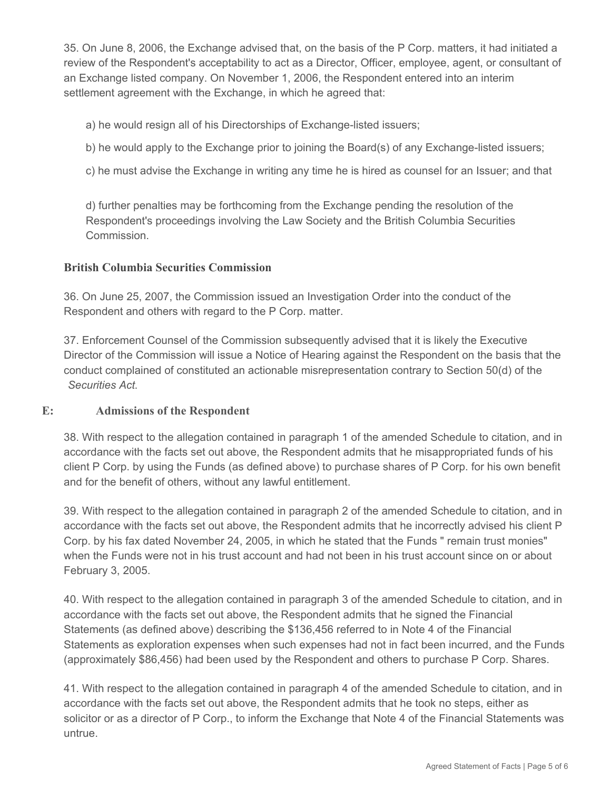35. On June 8, 2006, the Exchange advised that, on the basis of the P Corp. matters, it had initiated a review of the Respondent's acceptability to act as a Director, Officer, employee, agent, or consultant of an Exchange listed company. On November 1, 2006, the Respondent entered into an interim settlement agreement with the Exchange, in which he agreed that:

a) he would resign all of his Directorships of Exchange-listed issuers;

b) he would apply to the Exchange prior to joining the Board(s) of any Exchange-listed issuers;

c) he must advise the Exchange in writing any time he is hired as counsel for an Issuer; and that

d) further penalties may be forthcoming from the Exchange pending the resolution of the Respondent's proceedings involving the Law Society and the British Columbia Securities Commission.

#### **British Columbia Securities Commission**

36. On June 25, 2007, the Commission issued an Investigation Order into the conduct of the Respondent and others with regard to the P Corp. matter.

37. Enforcement Counsel of the Commission subsequently advised that it is likely the Executive Director of the Commission will issue a Notice of Hearing against the Respondent on the basis that the conduct complained of constituted an actionable misrepresentation contrary to Section 50(d) of the *Securities Act*.

#### **E: Admissions of the Respondent**

38. With respect to the allegation contained in paragraph 1 of the amended Schedule to citation, and in accordance with the facts set out above, the Respondent admits that he misappropriated funds of his client P Corp. by using the Funds (as defined above) to purchase shares of P Corp. for his own benefit and for the benefit of others, without any lawful entitlement.

39. With respect to the allegation contained in paragraph 2 of the amended Schedule to citation, and in accordance with the facts set out above, the Respondent admits that he incorrectly advised his client P Corp. by his fax dated November 24, 2005, in which he stated that the Funds " remain trust monies" when the Funds were not in his trust account and had not been in his trust account since on or about February 3, 2005.

40. With respect to the allegation contained in paragraph 3 of the amended Schedule to citation, and in accordance with the facts set out above, the Respondent admits that he signed the Financial Statements (as defined above) describing the \$136,456 referred to in Note 4 of the Financial Statements as exploration expenses when such expenses had not in fact been incurred, and the Funds (approximately \$86,456) had been used by the Respondent and others to purchase P Corp. Shares.

41. With respect to the allegation contained in paragraph 4 of the amended Schedule to citation, and in accordance with the facts set out above, the Respondent admits that he took no steps, either as solicitor or as a director of P Corp., to inform the Exchange that Note 4 of the Financial Statements was untrue.